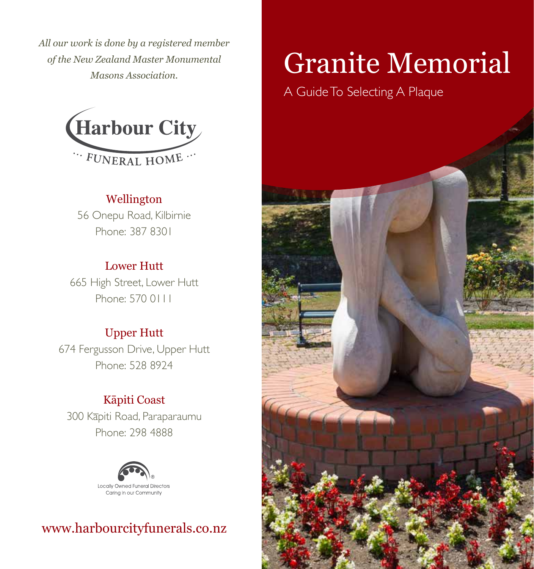*All our work is done by a registered member of the New Zealand Master Monumental Masons Association.*



# Wellington

56 Onepu Road, Kilbirnie Phone: 387 8301

## Lower Hutt

665 High Street, Lower Hutt Phone: 570 0111

#### Upper Hutt

674 Fergusson Drive, Upper Hutt Phone: 528 8924

# Kāpiti Coast

300 Kāpiti Road, Paraparaumu Phone: 298 4888



# www.harbourcityfunerals.co.nz

# Granite Memorial

A Guide To Selecting A Plaque